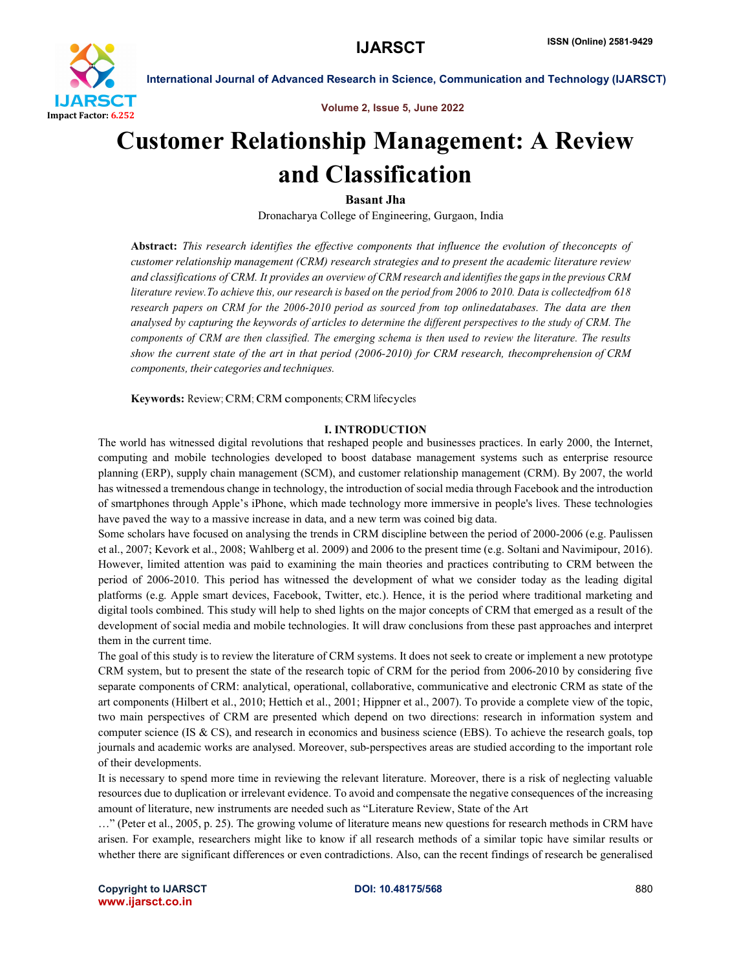

Volume 2, Issue 5, June 2022

# Customer Relationship Management: A Review and Classification

Basant Jha

Dronacharya College of Engineering, Gurgaon, India

Abstract: *This research identifies the effective components that influence the evolution of theconcepts of customer relationship management (CRM) research strategies and to present the academic literature review and classifications of CRM. It provides an overview of CRM research and identifies the gapsin the previous CRM* literature review. To achieve this, our research is based on the period from 2006 to 2010. Data is collectedfrom 618 *research papers on CRM for the 2006-2010 period as sourced from top onlinedatabases. The data are then analysed by capturing the keywords of articles to determine the different perspectives to the study of CRM. The components of CRM are then classified. The emerging schema is then used to review the literature. The results show the current state of the art in that period (2006-2010) for CRM research, thecomprehension of CRM components, their categories and techniques.*

Keywords: Review; CRM; CRM components; CRM lifecycles

# I. INTRODUCTION

The world has witnessed digital revolutions that reshaped people and businesses practices. In early 2000, the Internet, computing and mobile technologies developed to boost database management systems such as enterprise resource planning (ERP), supply chain management (SCM), and customer relationship management (CRM). By 2007, the world has witnessed a tremendous change in technology, the introduction of social media through Facebook and the introduction of smartphones through Apple's iPhone, which made technology more immersive in people's lives. These technologies have paved the way to a massive increase in data, and a new term was coined big data.

Some scholars have focused on analysing the trends in CRM discipline between the period of 2000-2006 (e.g. Paulissen et al., 2007; Kevork et al., 2008; Wahlberg et al. 2009) and 2006 to the present time (e.g. Soltani and Navimipour, 2016). However, limited attention was paid to examining the main theories and practices contributing to CRM between the period of 2006-2010. This period has witnessed the development of what we consider today as the leading digital platforms (e.g. Apple smart devices, Facebook, Twitter, etc.). Hence, it is the period where traditional marketing and digital tools combined. This study will help to shed lights on the major concepts of CRM that emerged as a result of the development of social media and mobile technologies. It will draw conclusions from these past approaches and interpret them in the current time.

The goal of this study is to review the literature of CRM systems. It does not seek to create or implement a new prototype CRM system, but to present the state of the research topic of CRM for the period from 2006-2010 by considering five separate components of CRM: analytical, operational, collaborative, communicative and electronic CRM as state of the art components (Hilbert et al., 2010; Hettich et al., 2001; Hippner et al., 2007). To provide a complete view of the topic, two main perspectives of CRM are presented which depend on two directions: research in information system and computer science (IS & CS), and research in economics and business science (EBS). To achieve the research goals, top journals and academic works are analysed. Moreover, sub-perspectives areas are studied according to the important role of their developments.

It is necessary to spend more time in reviewing the relevant literature. Moreover, there is a risk of neglecting valuable resources due to duplication or irrelevant evidence. To avoid and compensate the negative consequences of the increasing amount of literature, new instruments are needed such as "Literature Review, State of the Art

…" (Peter et al., 2005, p. 25). The growing volume of literature means new questions for research methods in CRM have arisen. For example, researchers might like to know if all research methods of a similar topic have similar results or whether there are significant differences or even contradictions. Also, can the recent findings of research be generalised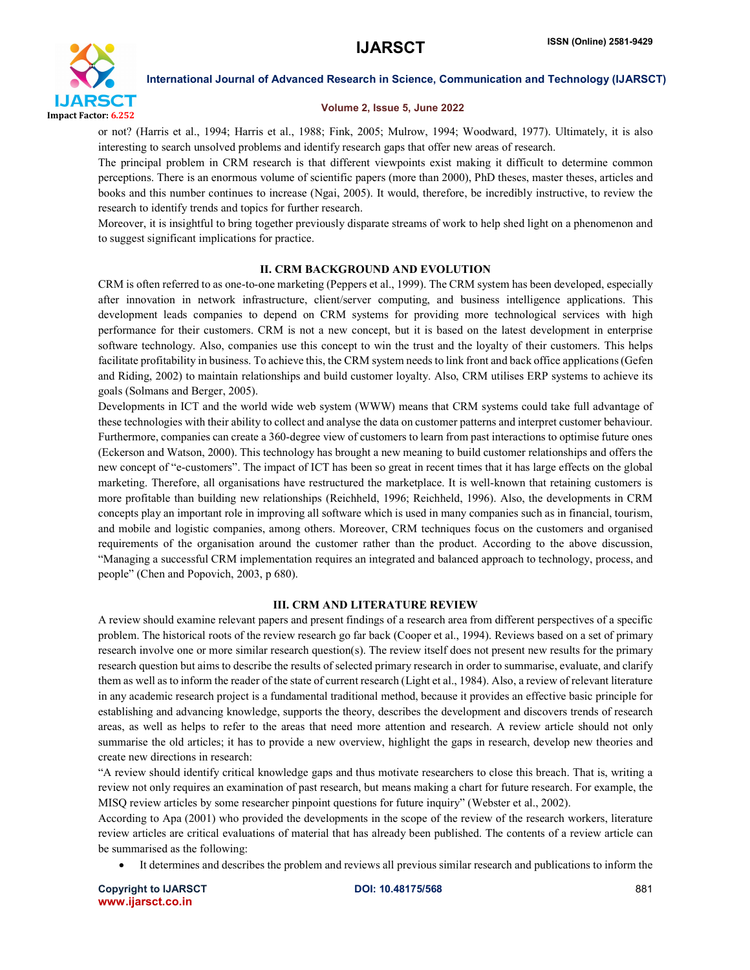

#### Volume 2, Issue 5, June 2022

or not? (Harris et al., 1994; Harris et al., 1988; Fink, 2005; Mulrow, 1994; Woodward, 1977). Ultimately, it is also interesting to search unsolved problems and identify research gaps that offer new areas of research.

The principal problem in CRM research is that different viewpoints exist making it difficult to determine common perceptions. There is an enormous volume of scientific papers (more than 2000), PhD theses, master theses, articles and books and this number continues to increase (Ngai, 2005). It would, therefore, be incredibly instructive, to review the research to identify trends and topics for further research.

Moreover, it is insightful to bring together previously disparate streams of work to help shed light on a phenomenon and to suggest significant implications for practice.

# II. CRM BACKGROUND AND EVOLUTION

CRM is often referred to as one-to-one marketing (Peppers et al., 1999). The CRM system has been developed, especially after innovation in network infrastructure, client/server computing, and business intelligence applications. This development leads companies to depend on CRM systems for providing more technological services with high performance for their customers. CRM is not a new concept, but it is based on the latest development in enterprise software technology. Also, companies use this concept to win the trust and the loyalty of their customers. This helps facilitate profitability in business. To achieve this, the CRM system needs to link front and back office applications (Gefen and Riding, 2002) to maintain relationships and build customer loyalty. Also, CRM utilises ERP systems to achieve its goals (Solmans and Berger, 2005).

Developments in ICT and the world wide web system (WWW) means that CRM systems could take full advantage of these technologies with their ability to collect and analyse the data on customer patterns and interpret customer behaviour. Furthermore, companies can create a 360-degree view of customers to learn from past interactions to optimise future ones (Eckerson and Watson, 2000). This technology has brought a new meaning to build customer relationships and offers the new concept of "e-customers". The impact of ICT has been so great in recent times that it has large effects on the global marketing. Therefore, all organisations have restructured the marketplace. It is well-known that retaining customers is more profitable than building new relationships (Reichheld, 1996; Reichheld, 1996). Also, the developments in CRM concepts play an important role in improving all software which is used in many companies such as in financial, tourism, and mobile and logistic companies, among others. Moreover, CRM techniques focus on the customers and organised requirements of the organisation around the customer rather than the product. According to the above discussion, "Managing a successful CRM implementation requires an integrated and balanced approach to technology, process, and people" (Chen and Popovich, 2003, p 680).

### III. CRM AND LITERATURE REVIEW

A review should examine relevant papers and present findings of a research area from different perspectives of a specific problem. The historical roots of the review research go far back (Cooper et al., 1994). Reviews based on a set of primary research involve one or more similar research question(s). The review itself does not present new results for the primary research question but aims to describe the results of selected primary research in order to summarise, evaluate, and clarify them as well as to inform the reader of the state of current research (Light et al., 1984). Also, a review of relevant literature in any academic research project is a fundamental traditional method, because it provides an effective basic principle for establishing and advancing knowledge, supports the theory, describes the development and discovers trends of research areas, as well as helps to refer to the areas that need more attention and research. A review article should not only summarise the old articles; it has to provide a new overview, highlight the gaps in research, develop new theories and create new directions in research:

"A review should identify critical knowledge gaps and thus motivate researchers to close this breach. That is, writing a review not only requires an examination of past research, but means making a chart for future research. For example, the MISQ review articles by some researcher pinpoint questions for future inquiry" (Webster et al., 2002).

According to Apa (2001) who provided the developments in the scope of the review of the research workers, literature review articles are critical evaluations of material that has already been published. The contents of a review article can be summarised as the following:

It determines and describes the problem and reviews all previous similar research and publications to inform the

Copyright to IJARSCT **DOI: 10.48175/568** 881 www.ijarsct.co.in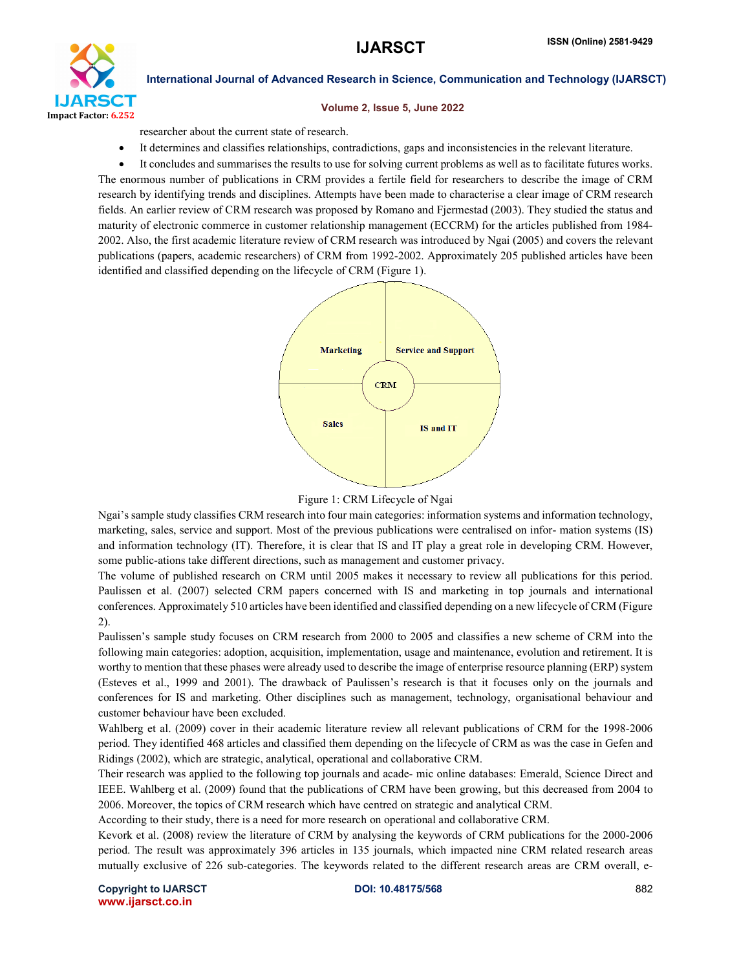

#### Volume 2, Issue 5, June 2022

researcher about the current state of research.

It determines and classifies relationships, contradictions, gaps and inconsistencies in the relevant literature.

 It concludes and summarises the results to use for solving current problems as well as to facilitate futures works. The enormous number of publications in CRM provides a fertile field for researchers to describe the image of CRM research by identifying trends and disciplines. Attempts have been made to characterise a clear image of CRM research fields. An earlier review of CRM research was proposed by Romano and Fjermestad (2003). They studied the status and maturity of electronic commerce in customer relationship management (ECCRM) for the articles published from 1984- 2002. Also, the first academic literature review of CRM research was introduced by Ngai (2005) and covers the relevant publications (papers, academic researchers) of CRM from 1992-2002. Approximately 205 published articles have been identified and classified depending on the lifecycle of CRM (Figure 1).



Figure 1: CRM Lifecycle of Ngai

Ngai's sample study classifies CRM research into four main categories: information systems and information technology, marketing, sales, service and support. Most of the previous publications were centralised on infor- mation systems (IS) and information technology (IT). Therefore, it is clear that IS and IT play a great role in developing CRM. However, some public-ations take different directions, such as management and customer privacy.

The volume of published research on CRM until 2005 makes it necessary to review all publications for this period. Paulissen et al. (2007) selected CRM papers concerned with IS and marketing in top journals and international conferences. Approximately 510 articles have been identified and classified depending on a new lifecycle of CRM (Figure 2).

Paulissen's sample study focuses on CRM research from 2000 to 2005 and classifies a new scheme of CRM into the following main categories: adoption, acquisition, implementation, usage and maintenance, evolution and retirement. It is worthy to mention that these phases were already used to describe the image of enterprise resource planning (ERP) system (Esteves et al., 1999 and 2001). The drawback of Paulissen's research is that it focuses only on the journals and conferences for IS and marketing. Other disciplines such as management, technology, organisational behaviour and customer behaviour have been excluded.

Wahlberg et al. (2009) cover in their academic literature review all relevant publications of CRM for the 1998-2006 period. They identified 468 articles and classified them depending on the lifecycle of CRM as was the case in Gefen and Ridings (2002), which are strategic, analytical, operational and collaborative CRM.

Their research was applied to the following top journals and acade- mic online databases: Emerald, Science Direct and IEEE. Wahlberg et al. (2009) found that the publications of CRM have been growing, but this decreased from 2004 to 2006. Moreover, the topics of CRM research which have centred on strategic and analytical CRM.

According to their study, there is a need for more research on operational and collaborative CRM.

Kevork et al. (2008) review the literature of CRM by analysing the keywords of CRM publications for the 2000-2006 period. The result was approximately 396 articles in 135 journals, which impacted nine CRM related research areas mutually exclusive of 226 sub-categories. The keywords related to the different research areas are CRM overall, e-

Copyright to IJARSCT **DOI: 10.48175/568** 882 www.ijarsct.co.in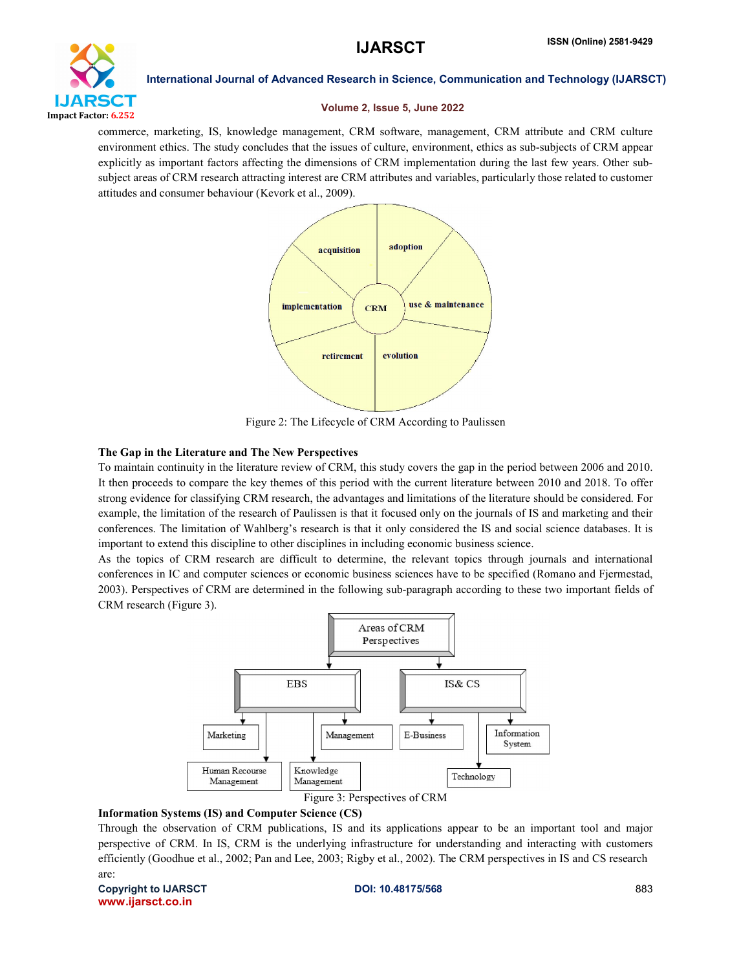

#### Volume 2, Issue 5, June 2022

commerce, marketing, IS, knowledge management, CRM software, management, CRM attribute and CRM culture environment ethics. The study concludes that the issues of culture, environment, ethics as sub-subjects of CRM appear explicitly as important factors affecting the dimensions of CRM implementation during the last few years. Other subsubject areas of CRM research attracting interest are CRM attributes and variables, particularly those related to customer attitudes and consumer behaviour (Kevork et al., 2009).



Figure 2: The Lifecycle of CRM According to Paulissen

# The Gap in the Literature and The New Perspectives

To maintain continuity in the literature review of CRM, this study covers the gap in the period between 2006 and 2010. It then proceeds to compare the key themes of this period with the current literature between 2010 and 2018. To offer strong evidence for classifying CRM research, the advantages and limitations of the literature should be considered. For example, the limitation of the research of Paulissen is that it focused only on the journals of IS and marketing and their conferences. The limitation of Wahlberg's research is that it only considered the IS and social science databases. It is important to extend this discipline to other disciplines in including economic business science.

As the topics of CRM research are difficult to determine, the relevant topics through journals and international conferences in IC and computer sciences or economic business sciences have to be specified (Romano and Fjermestad, 2003). Perspectives of CRM are determined in the following sub-paragraph according to these two important fields of CRM research (Figure 3).



Figure 3: Perspectives of CRM

# Information Systems (IS) and Computer Science (CS)

Through the observation of CRM publications, IS and its applications appear to be an important tool and major perspective of CRM. In IS, CRM is the underlying infrastructure for understanding and interacting with customers efficiently (Goodhue et al., 2002; Pan and Lee, 2003; Rigby et al., 2002). The CRM perspectives in IS and CS research are:

Copyright to IJARSCT **DOI: 10.48175/568** 883 www.ijarsct.co.in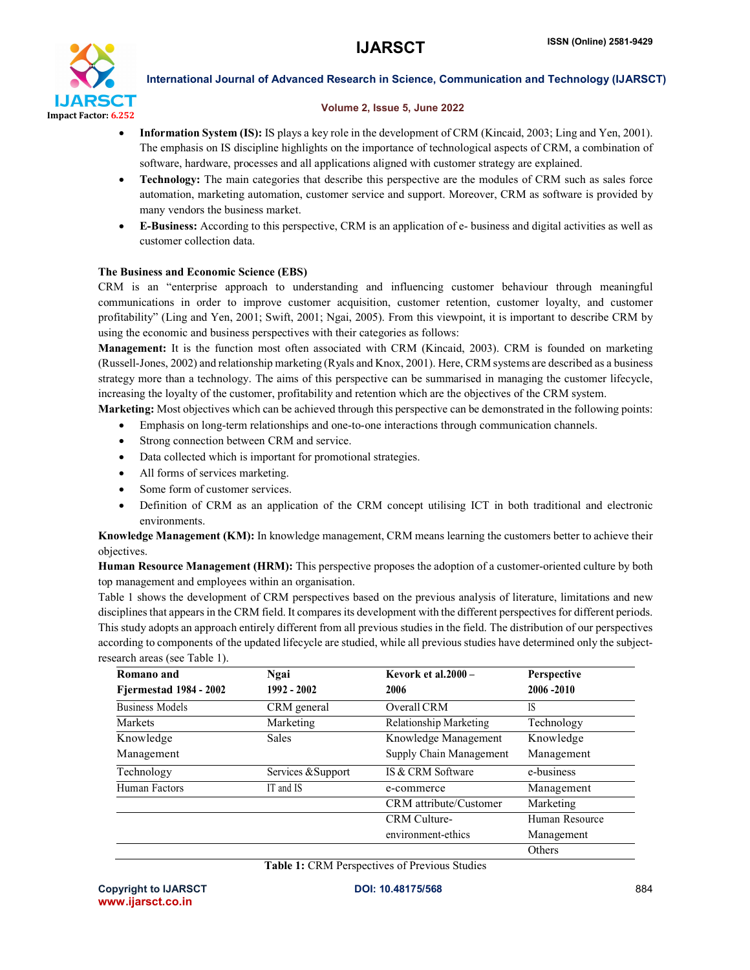

# Volume 2, Issue 5, June 2022

- Information System (IS): IS plays a key role in the development of CRM (Kincaid, 2003; Ling and Yen, 2001). The emphasis on IS discipline highlights on the importance of technological aspects of CRM, a combination of software, hardware, processes and all applications aligned with customer strategy are explained.
- Technology: The main categories that describe this perspective are the modules of CRM such as sales force automation, marketing automation, customer service and support. Moreover, CRM as software is provided by many vendors the business market.
- E-Business: According to this perspective, CRM is an application of e- business and digital activities as well as customer collection data.

# The Business and Economic Science (EBS)

CRM is an "enterprise approach to understanding and influencing customer behaviour through meaningful communications in order to improve customer acquisition, customer retention, customer loyalty, and customer profitability" (Ling and Yen, 2001; Swift, 2001; Ngai, 2005). From this viewpoint, it is important to describe CRM by using the economic and business perspectives with their categories as follows:

Management: It is the function most often associated with CRM (Kincaid, 2003). CRM is founded on marketing (Russell-Jones, 2002) and relationship marketing (Ryals and Knox, 2001). Here, CRM systems are described as a business strategy more than a technology. The aims of this perspective can be summarised in managing the customer lifecycle, increasing the loyalty of the customer, profitability and retention which are the objectives of the CRM system.

Marketing: Most objectives which can be achieved through this perspective can be demonstrated in the following points:

- Emphasis on long-term relationships and one-to-one interactions through communication channels.
- Strong connection between CRM and service.
- Data collected which is important for promotional strategies.
- All forms of services marketing.
- Some form of customer services.
- Definition of CRM as an application of the CRM concept utilising ICT in both traditional and electronic environments.

Knowledge Management (KM): In knowledge management, CRM means learning the customers better to achieve their objectives.

Human Resource Management (HRM): This perspective proposes the adoption of a customer-oriented culture by both top management and employees within an organisation.

Table 1 shows the development of CRM perspectives based on the previous analysis of literature, limitations and new disciplines that appears in the CRM field. It compares its development with the different perspectives for different periods. This study adopts an approach entirely different from all previous studies in the field. The distribution of our perspectives according to components of the updated lifecycle are studied, while all previous studies have determined only the subjectresearch areas (see Table 1).

| Romano and                    | Ngai               | Kevork et al. $2000 -$        | <b>Perspective</b> |
|-------------------------------|--------------------|-------------------------------|--------------------|
| <b>Fjermestad 1984 - 2002</b> | $1992 - 2002$      | 2006                          | $2006 - 2010$      |
| <b>Business Models</b>        | CRM general        | Overall CRM                   | IS                 |
| <b>Markets</b>                | Marketing          | Relationship Marketing        | Technology         |
| Knowledge                     | Sales              | Knowledge Management          | Knowledge          |
| Management                    |                    | Supply Chain Management       | Management         |
| Technology                    | Services & Support | IS & CRM Software             | e-business         |
| Human Factors                 | IT and IS          | e-commerce                    | Management         |
|                               |                    | <b>CRM</b> attribute/Customer | Marketing          |
|                               |                    | <b>CRM</b> Culture-           | Human Resource     |
|                               |                    | environment-ethics            | Management         |
|                               |                    |                               | Others             |

Table 1: CRM Perspectives of Previous Studies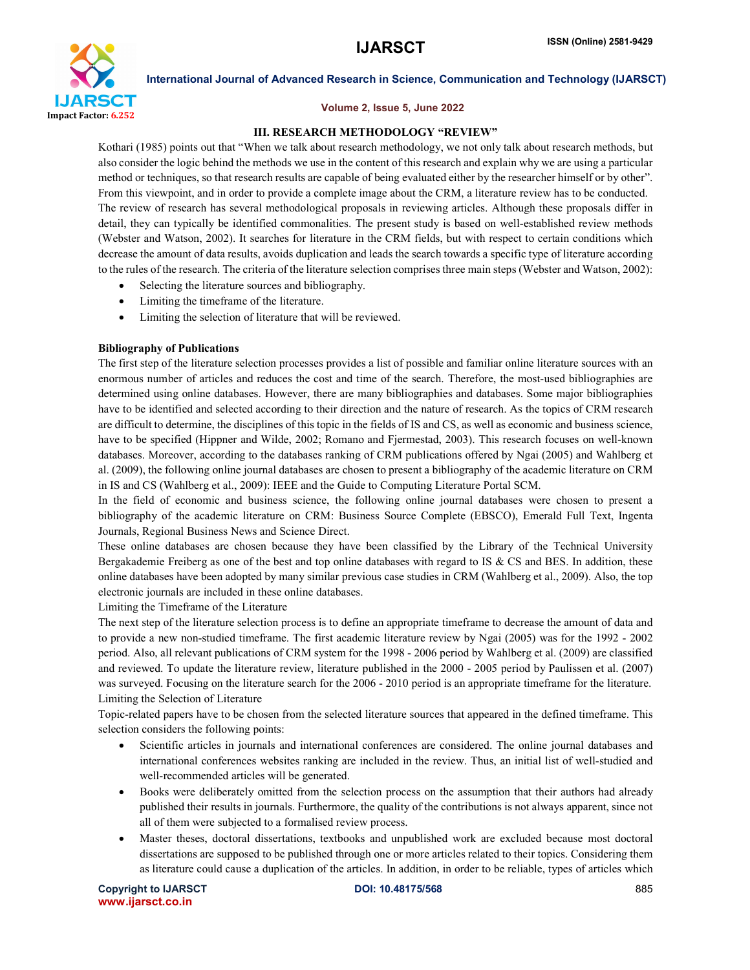

#### Volume 2, Issue 5, June 2022

#### III. RESEARCH METHODOLOGY "REVIEW"

Kothari (1985) points out that "When we talk about research methodology, we not only talk about research methods, but also consider the logic behind the methods we use in the content of this research and explain why we are using a particular method or techniques, so that research results are capable of being evaluated either by the researcher himself or by other". From this viewpoint, and in order to provide a complete image about the CRM, a literature review has to be conducted. The review of research has several methodological proposals in reviewing articles. Although these proposals differ in detail, they can typically be identified commonalities. The present study is based on well-established review methods (Webster and Watson, 2002). It searches for literature in the CRM fields, but with respect to certain conditions which decrease the amount of data results, avoids duplication and leads the search towards a specific type of literature according to the rules of the research. The criteria of the literature selection comprises three main steps (Webster and Watson, 2002):

- Selecting the literature sources and bibliography.
- Limiting the timeframe of the literature.
- Limiting the selection of literature that will be reviewed.

#### Bibliography of Publications

The first step of the literature selection processes provides a list of possible and familiar online literature sources with an enormous number of articles and reduces the cost and time of the search. Therefore, the most-used bibliographies are determined using online databases. However, there are many bibliographies and databases. Some major bibliographies have to be identified and selected according to their direction and the nature of research. As the topics of CRM research are difficult to determine, the disciplines of this topic in the fields of IS and CS, as well as economic and business science, have to be specified (Hippner and Wilde, 2002; Romano and Fjermestad, 2003). This research focuses on well-known databases. Moreover, according to the databases ranking of CRM publications offered by Ngai (2005) and Wahlberg et al. (2009), the following online journal databases are chosen to present a bibliography of the academic literature on CRM in IS and CS (Wahlberg et al., 2009): IEEE and the Guide to Computing Literature Portal SCM.

In the field of economic and business science, the following online journal databases were chosen to present a bibliography of the academic literature on CRM: Business Source Complete (EBSCO), Emerald Full Text, Ingenta Journals, Regional Business News and Science Direct.

These online databases are chosen because they have been classified by the Library of the Technical University Bergakademie Freiberg as one of the best and top online databases with regard to IS & CS and BES. In addition, these online databases have been adopted by many similar previous case studies in CRM (Wahlberg et al., 2009). Also, the top electronic journals are included in these online databases.

Limiting the Timeframe of the Literature

The next step of the literature selection process is to define an appropriate timeframe to decrease the amount of data and to provide a new non-studied timeframe. The first academic literature review by Ngai (2005) was for the 1992 - 2002 period. Also, all relevant publications of CRM system for the 1998 - 2006 period by Wahlberg et al. (2009) are classified and reviewed. To update the literature review, literature published in the 2000 - 2005 period by Paulissen et al. (2007) was surveyed. Focusing on the literature search for the 2006 - 2010 period is an appropriate timeframe for the literature. Limiting the Selection of Literature

Topic-related papers have to be chosen from the selected literature sources that appeared in the defined timeframe. This selection considers the following points:

- Scientific articles in journals and international conferences are considered. The online journal databases and international conferences websites ranking are included in the review. Thus, an initial list of well-studied and well-recommended articles will be generated.
- Books were deliberately omitted from the selection process on the assumption that their authors had already published their results in journals. Furthermore, the quality of the contributions is not always apparent, since not all of them were subjected to a formalised review process.
- Master theses, doctoral dissertations, textbooks and unpublished work are excluded because most doctoral dissertations are supposed to be published through one or more articles related to their topics. Considering them as literature could cause a duplication of the articles. In addition, in order to be reliable, types of articles which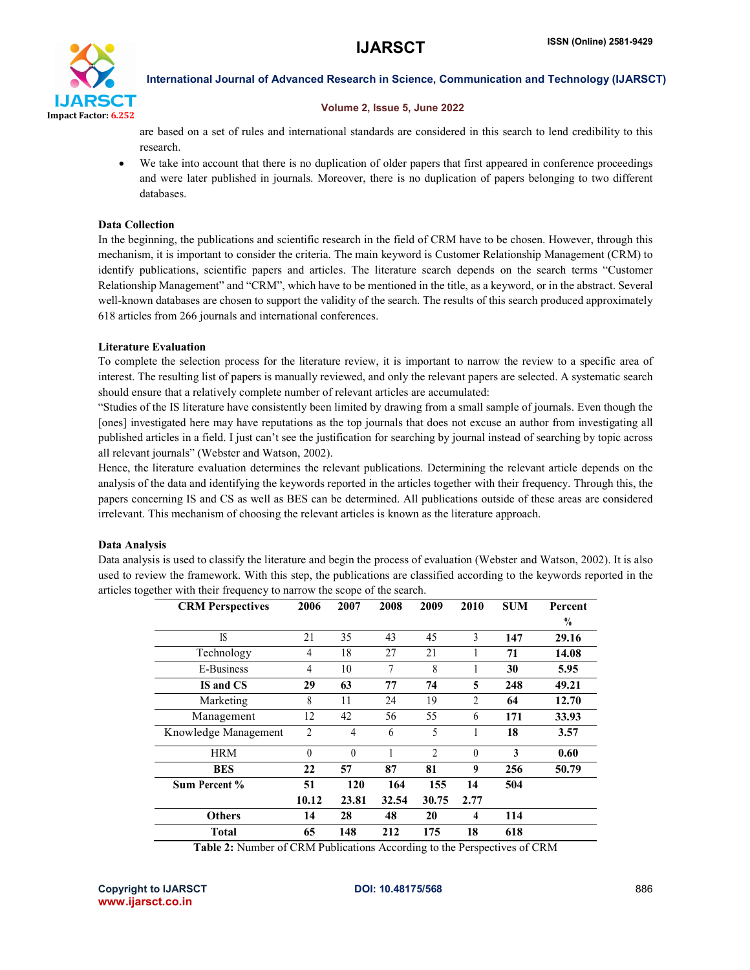

### Volume 2, Issue 5, June 2022

are based on a set of rules and international standards are considered in this search to lend credibility to this research.

We take into account that there is no duplication of older papers that first appeared in conference proceedings and were later published in journals. Moreover, there is no duplication of papers belonging to two different databases.

# Data Collection

In the beginning, the publications and scientific research in the field of CRM have to be chosen. However, through this mechanism, it is important to consider the criteria. The main keyword is Customer Relationship Management (CRM) to identify publications, scientific papers and articles. The literature search depends on the search terms "Customer Relationship Management" and "CRM", which have to be mentioned in the title, as a keyword, or in the abstract. Several well-known databases are chosen to support the validity of the search. The results of this search produced approximately 618 articles from 266 journals and international conferences.

# Literature Evaluation

To complete the selection process for the literature review, it is important to narrow the review to a specific area of interest. The resulting list of papers is manually reviewed, and only the relevant papers are selected. A systematic search should ensure that a relatively complete number of relevant articles are accumulated:

"Studies of the IS literature have consistently been limited by drawing from a small sample of journals. Even though the [ones] investigated here may have reputations as the top journals that does not excuse an author from investigating all published articles in a field. I just can't see the justification for searching by journal instead of searching by topic across all relevant journals" (Webster and Watson, 2002).

Hence, the literature evaluation determines the relevant publications. Determining the relevant article depends on the analysis of the data and identifying the keywords reported in the articles together with their frequency. Through this, the papers concerning IS and CS as well as BES can be determined. All publications outside of these areas are considered irrelevant. This mechanism of choosing the relevant articles is known as the literature approach.

# Data Analysis

Data analysis is used to classify the literature and begin the process of evaluation (Webster and Watson, 2002). It is also used to review the framework. With this step, the publications are classified according to the keywords reported in the articles together with their frequency to narrow the scope of the search.

| <b>CRM Perspectives</b> | 2006           | 2007     | 2008           | 2009  | 2010     | <b>SUM</b> | Percent<br>$\frac{0}{0}$ |
|-------------------------|----------------|----------|----------------|-------|----------|------------|--------------------------|
| <b>IS</b>               | 21             | 35       | 43             | 45    | 3        | 147        | 29.16                    |
| Technology              | 4              | 18       | 27             | 21    |          | 71         | 14.08                    |
| E-Business              | 4              | 10       | $\overline{7}$ | 8     | 1        | 30         | 5.95                     |
| IS and CS               | 29             | 63       | 77             | 74    | 5        | 248        | 49.21                    |
| Marketing               | 8              | 11       | 24             | 19    | 2        | 64         | 12.70                    |
| Management              | 12             | 42       | 56             | 55    | 6        | 171        | 33.93                    |
| Knowledge Management    | $\overline{2}$ | 4        | 6              | 5     |          | 18         | 3.57                     |
| <b>HRM</b>              | $\theta$       | $\theta$ | 1              | 2     | $\theta$ | 3          | 0.60                     |
| <b>BES</b>              | 22             | 57       | 87             | 81    | 9        | 256        | 50.79                    |
| Sum Percent %           | 51             | 120      | 164            | 155   | 14       | 504        |                          |
|                         | 10.12          | 23.81    | 32.54          | 30.75 | 2.77     |            |                          |
| <b>Others</b>           | 14             | 28       | 48             | 20    | 4        | 114        |                          |
| <b>Total</b>            | 65             | 148      | 212            | 175   | 18       | 618        |                          |

Table 2: Number of CRM Publications According to the Perspectives of CRM

Copyright to IJARSCT **DOI: 10.48175/568** 886 www.ijarsct.co.in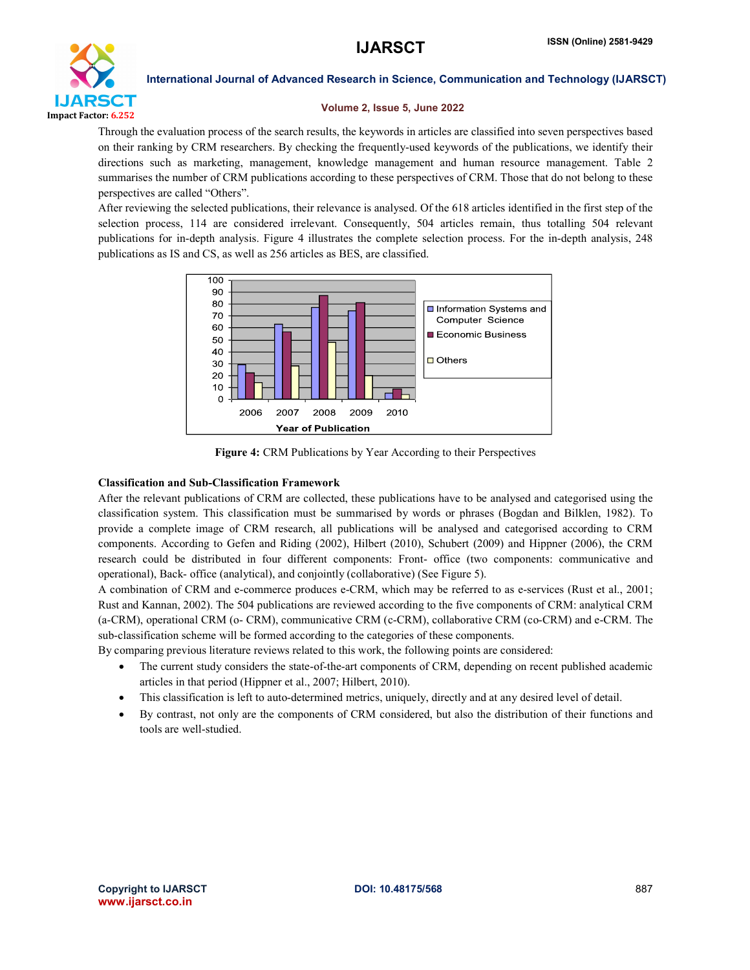

## Volume 2, Issue 5, June 2022

Through the evaluation process of the search results, the keywords in articles are classified into seven perspectives based on their ranking by CRM researchers. By checking the frequently-used keywords of the publications, we identify their directions such as marketing, management, knowledge management and human resource management. Table 2 summarises the number of CRM publications according to these perspectives of CRM. Those that do not belong to these perspectives are called "Others".

After reviewing the selected publications, their relevance is analysed. Of the 618 articles identified in the first step of the selection process, 114 are considered irrelevant. Consequently, 504 articles remain, thus totalling 504 relevant publications for in-depth analysis. Figure 4 illustrates the complete selection process. For the in-depth analysis, 248 publications as IS and CS, as well as 256 articles as BES, are classified.



Figure 4: CRM Publications by Year According to their Perspectives

# Classification and Sub-Classification Framework

After the relevant publications of CRM are collected, these publications have to be analysed and categorised using the classification system. This classification must be summarised by words or phrases (Bogdan and Bilklen, 1982). To provide a complete image of CRM research, all publications will be analysed and categorised according to CRM components. According to Gefen and Riding (2002), Hilbert (2010), Schubert (2009) and Hippner (2006), the CRM research could be distributed in four different components: Front- office (two components: communicative and operational), Back- office (analytical), and conjointly (collaborative) (See Figure 5).

A combination of CRM and e-commerce produces e-CRM, which may be referred to as e-services (Rust et al., 2001; Rust and Kannan, 2002). The 504 publications are reviewed according to the five components of CRM: analytical CRM (a-CRM), operational CRM (o- CRM), communicative CRM (c-CRM), collaborative CRM (co-CRM) and e-CRM. The sub-classification scheme will be formed according to the categories of these components.

By comparing previous literature reviews related to this work, the following points are considered:

- The current study considers the state-of-the-art components of CRM, depending on recent published academic articles in that period (Hippner et al., 2007; Hilbert, 2010).
- This classification is left to auto-determined metrics, uniquely, directly and at any desired level of detail.
- By contrast, not only are the components of CRM considered, but also the distribution of their functions and tools are well-studied.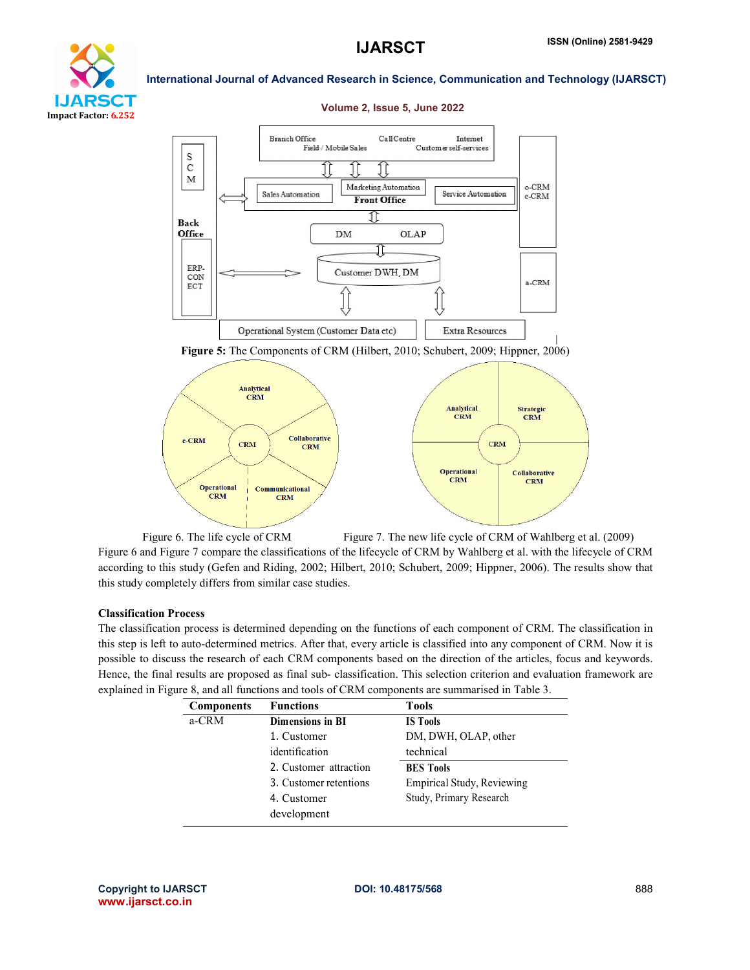



#### Volume 2, Issue 5, June 2022

Figure 5: The Components of CRM (Hilbert, 2010; Schubert, 2009; Hippner, 2006)



Figure 6. The life cycle of CRM Figure 7. The new life cycle of CRM of Wahlberg et al. (2009) Figure 6 and Figure 7 compare the classifications of the lifecycle of CRM by Wahlberg et al. with the lifecycle of CRM according to this study (Gefen and Riding, 2002; Hilbert, 2010; Schubert, 2009; Hippner, 2006). The results show that this study completely differs from similar case studies.

#### Classification Process

The classification process is determined depending on the functions of each component of CRM. The classification in this step is left to auto-determined metrics. After that, every article is classified into any component of CRM. Now it is possible to discuss the research of each CRM components based on the direction of the articles, focus and keywords. Hence, the final results are proposed as final sub- classification. This selection criterion and evaluation framework are explained in Figure 8, and all functions and tools of CRM components are summarised in Table 3.

| <b>Components</b> | <b>Functions</b>        | <b>Tools</b>                      |
|-------------------|-------------------------|-----------------------------------|
| a-CRM             | <b>Dimensions in BI</b> | <b>IS Tools</b>                   |
|                   | 1. Customer             | DM, DWH, OLAP, other              |
|                   | identification          | technical                         |
|                   | 2. Customer attraction  | <b>BES</b> Tools                  |
|                   | 3. Customer retentions  | <b>Empirical Study, Reviewing</b> |
|                   | 4. Customer             | Study, Primary Research           |
|                   | development             |                                   |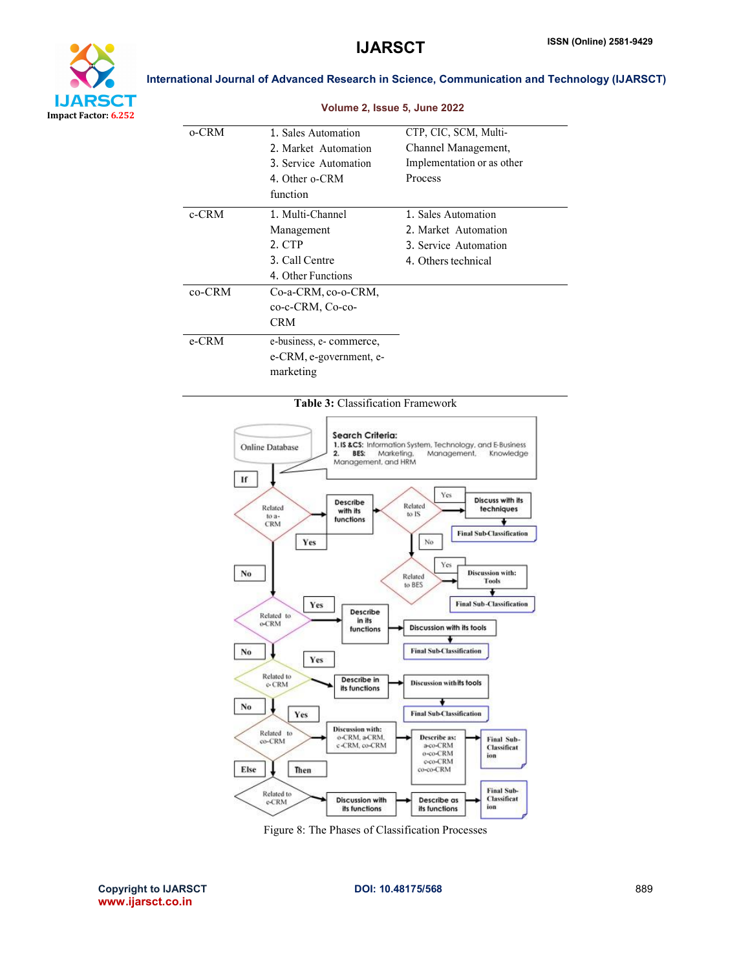

|          | Volume 2, Issue 5, June 2022 |                            |
|----------|------------------------------|----------------------------|
| 0-CRM    | 1. Sales Automation          | CTP, CIC, SCM, Multi-      |
|          | 2. Market Automation         | Channel Management,        |
|          | 3. Service Automation        | Implementation or as other |
|          | 4. Other o-CRM               | Process                    |
|          | function                     |                            |
| $c$ -CRM | 1. Multi-Channel             | 1. Sales Automation        |
|          | Management                   | 2. Market Automation       |
|          | 2. CTP                       | 3. Service Automation      |
|          | 3. Call Centre               | 4. Others technical        |
|          | 4. Other Functions           |                            |
| co-CRM   | Co-a-CRM, co-o-CRM,          |                            |
|          | co-c-CRM, Co-co-             |                            |
|          | CRM                          |                            |
| e-CRM    | e-business, e- commerce,     |                            |
|          | e-CRM, e-government, e-      |                            |
|          | marketing                    |                            |

# Table 3: Classification Framework



Figure 8: The Phases of Classification Processes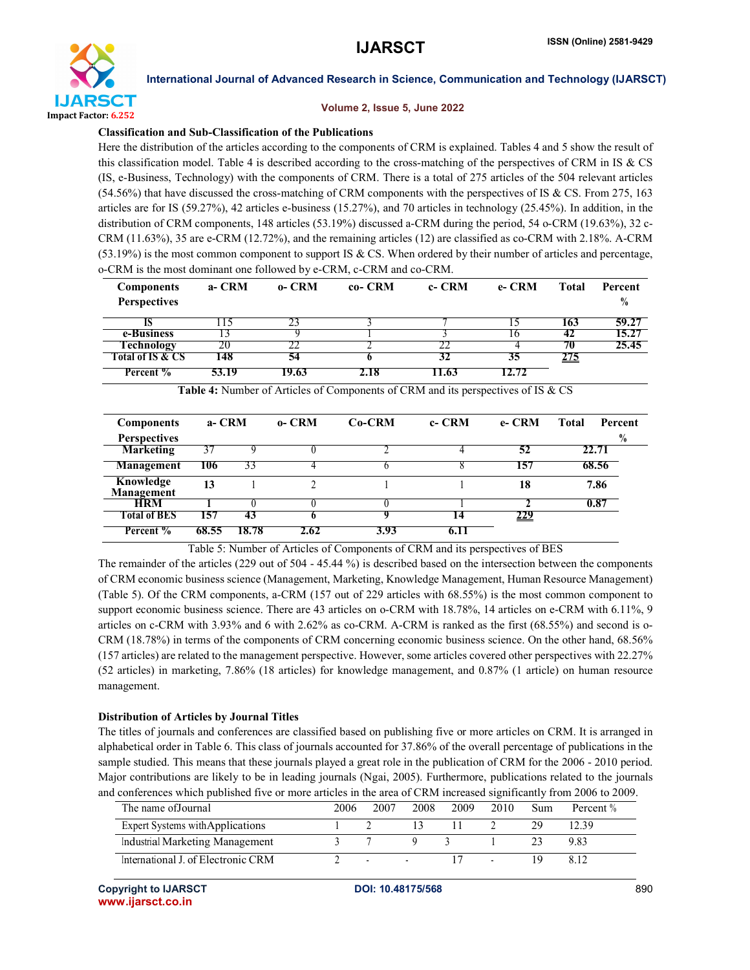

#### Volume 2, Issue 5, June 2022

# Classification and Sub-Classification of the Publications

Here the distribution of the articles according to the components of CRM is explained. Tables 4 and 5 show the result of this classification model. Table 4 is described according to the cross-matching of the perspectives of CRM in IS & CS (IS, e-Business, Technology) with the components of CRM. There is a total of 275 articles of the 504 relevant articles  $(54.56%)$  that have discussed the cross-matching of CRM components with the perspectives of IS & CS. From 275, 163 articles are for IS (59.27%), 42 articles e-business (15.27%), and 70 articles in technology (25.45%). In addition, in the distribution of CRM components, 148 articles (53.19%) discussed a-CRM during the period, 54 o-CRM (19.63%), 32 c-CRM (11.63%), 35 are e-CRM (12.72%), and the remaining articles (12) are classified as co-CRM with 2.18%. A-CRM  $(53.19%)$  is the most common component to support IS & CS. When ordered by their number of articles and percentage, o-CRM is the most dominant one followed by e-CRM, c-CRM and co-CRM.

| <b>Components</b>              | a- CRM | $0 - CRM$ | co- CRM | c- CRM | e- CRM | Total       | <b>Percent</b> |
|--------------------------------|--------|-----------|---------|--------|--------|-------------|----------------|
| <b>Perspectives</b>            |        |           |         |        |        |             | $\frac{0}{0}$  |
|                                | -15    |           |         |        |        | 163         | 59.27          |
| e-Business                     |        |           |         |        | Iб     | 42          | 15.27          |
| <b>Technology</b>              | 20     |           |         |        |        | 70          | 25.45          |
| Fotal of IS & CS               | 148    | 54        |         |        | 35     | <u> 275</u> |                |
| <b>Percent</b> $\overline{\%}$ | 53.19  | 19.63     | 2.18    | 11.63  | 12.72  |             |                |

| <b>Components</b>       | a- CRM |       | $0 - CRM$ | $Co-CRM$ | c- CRM | e- CRM | <b>Total</b><br>Percent |
|-------------------------|--------|-------|-----------|----------|--------|--------|-------------------------|
| <b>Perspectives</b>     |        |       |           |          |        |        | $\frac{0}{0}$           |
| <b>Marketing</b>        | ?′     |       |           |          |        | 52     | 22.71                   |
| Management              | 106    | 33    |           |          |        | 157    | 68.56                   |
| Knowledge<br>Management | 13     |       |           |          |        | 18     | 7.86                    |
| <b>HRM</b>              |        |       |           |          |        |        | 0.87                    |
| <b>Total of BES</b>     | 157    | 43    |           |          | 14     | 229    |                         |
| Percent %               | 68.55  | 18.78 | 2.62      | 3.93     | 6. L I |        |                         |

Table 4: Number of Articles of Components of CRM and its perspectives of IS & CS

Table 5: Number of Articles of Components of CRM and its perspectives of BES

The remainder of the articles (229 out of 504 - 45.44 %) is described based on the intersection between the components of CRM economic business science (Management, Marketing, Knowledge Management, Human Resource Management) (Table 5). Of the CRM components, a-CRM (157 out of 229 articles with 68.55%) is the most common component to support economic business science. There are 43 articles on o-CRM with 18.78%, 14 articles on e-CRM with 6.11%, 9 articles on c-CRM with 3.93% and 6 with 2.62% as co-CRM. A-CRM is ranked as the first (68.55%) and second is o-CRM (18.78%) in terms of the components of CRM concerning economic business science. On the other hand, 68.56% (157 articles) are related to the management perspective. However, some articles covered other perspectives with 22.27% (52 articles) in marketing, 7.86% (18 articles) for knowledge management, and 0.87% (1 article) on human resource management.

### Distribution of Articles by Journal Titles

The titles of journals and conferences are classified based on publishing five or more articles on CRM. It is arranged in alphabetical order in Table 6. This class of journals accounted for 37.86% of the overall percentage of publications in the sample studied. This means that these journals played a great role in the publication of CRM for the 2006 - 2010 period. Major contributions are likely to be in leading journals (Ngai, 2005). Furthermore, publications related to the journals and conferences which published five or more articles in the area of CRM increased significantly from 2006 to 2009.

| The name of Journal                | 2006 | 2007                     | 2008 | 2009 | 2010. | Sum | Percent % |
|------------------------------------|------|--------------------------|------|------|-------|-----|-----------|
| Expert Systems with Applications   |      |                          |      |      |       | 29  | 12.39     |
| Industrial Marketing Management    |      |                          |      |      |       |     |           |
| International J. of Electronic CRM |      | $\overline{\phantom{a}}$ |      |      |       | ιų  |           |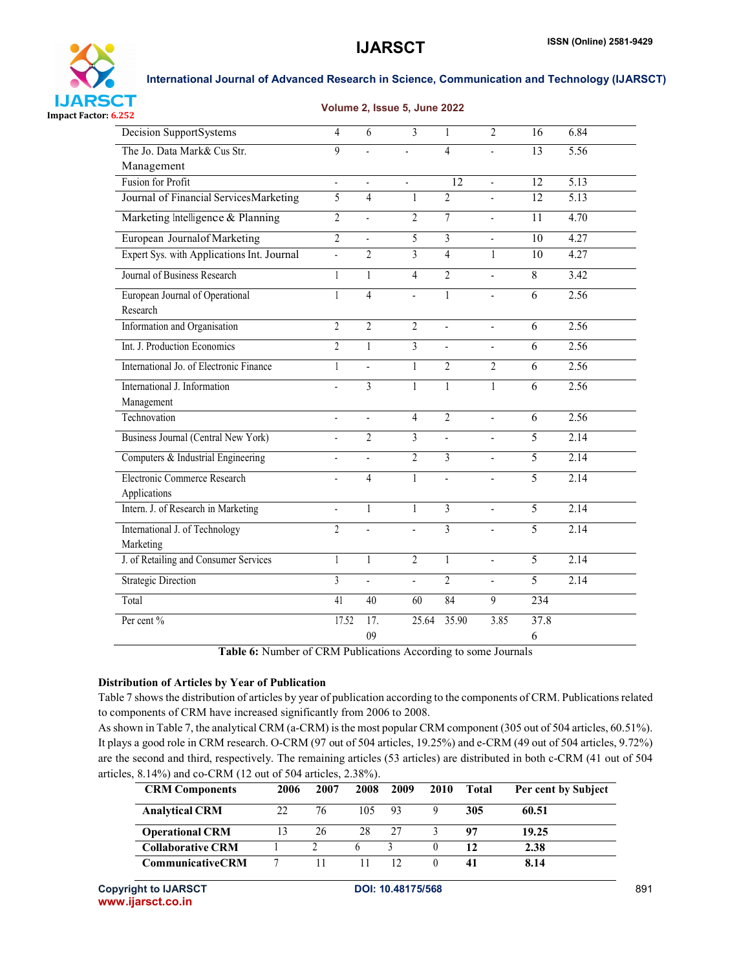

# Volume 2, Issue 5, June 2022

| Decision SupportSystems                     | $\overline{4}$            | 6              | 3              | 1              | $\overline{2}$ | 16             | 6.84              |
|---------------------------------------------|---------------------------|----------------|----------------|----------------|----------------|----------------|-------------------|
| The Jo. Data Mark& Cus Str.                 | $\mathbf{Q}$              | l,             | ÷,             | $\overline{4}$ | $\blacksquare$ | 13             | 5.56              |
| Management                                  |                           |                |                |                |                |                |                   |
| <b>Fusion for Profit</b>                    | $\overline{a}$            | L.             |                | 12             |                | 12             | 5.13              |
| Journal of Financial ServicesMarketing      | $\overline{5}$            | $\overline{4}$ | 1              | $\overline{2}$ |                | 12             | $\overline{5.13}$ |
| Marketing Intelligence & Planning           | $\overline{2}$            | ä,             | $\overline{2}$ | $\overline{7}$ |                | 11             | 4.70              |
| European Journalof Marketing                | $\overline{2}$            | L,             | 5              | 3              |                | 10             | 4.27              |
| Expert Sys. with Applications Int. Journal  | $\overline{a}$            | $\overline{2}$ | $\mathcal{E}$  | $\overline{4}$ | 1              | 10             | 4.27              |
| Journal of Business Research                | 1                         | $\mathbf{1}$   | $\overline{4}$ | $\overline{2}$ | $\overline{a}$ | 8              | 3.42              |
| European Journal of Operational<br>Research | $\mathbf{1}$              | $\overline{4}$ |                | $\mathbf{1}$   |                | 6              | 2.56              |
| Information and Organisation                | $\overline{c}$            | $\overline{2}$ | $\overline{2}$ |                | $\blacksquare$ | 6              | 2.56              |
| Int. J. Production Economics                | $\overline{\mathfrak{L}}$ | 1              | 3              | $\blacksquare$ | $\blacksquare$ | 6              | 2.56              |
| International Jo. of Electronic Finance     | $\mathbf{1}$              | $\overline{a}$ | 1              | $\overline{2}$ | $\overline{2}$ | 6              | 2.56              |
| International J. Information                | $\overline{a}$            | $\overline{3}$ | 1              | $\mathbf{1}$   | 1              | 6              | 2.56              |
| Management                                  |                           |                |                |                |                |                |                   |
| Technovation                                | $\blacksquare$            | $\blacksquare$ | $\overline{4}$ | $\overline{2}$ | $\blacksquare$ | 6              | 2.56              |
| Business Journal (Central New York)         | $\overline{a}$            | $\overline{2}$ | 3              | $\blacksquare$ | $\blacksquare$ | 5              | 2.14              |
| Computers & Industrial Engineering          | $\overline{a}$            | $\overline{a}$ | $\overline{2}$ | 3              |                | $\overline{5}$ | 2.14              |
| Electronic Commerce Research                | $\blacksquare$            | $\overline{4}$ | 1              |                |                | 5              | 2.14              |
| Applications                                |                           |                |                |                |                |                |                   |
| Intern. J. of Research in Marketing         | $\overline{a}$            | $\mathbf{1}$   | 1              | 3              | $\overline{a}$ | 5              | 2.14              |
| International J. of Technology              | $\overline{2}$            | $\overline{a}$ | $\overline{a}$ | 3              | $\blacksquare$ | 5              | 2.14              |
| Marketing                                   |                           |                |                |                |                |                |                   |
| J. of Retailing and Consumer Services       | $\mathbf{1}$              | $\mathbf{1}$   | $\overline{2}$ | $\mathbf{1}$   | $\overline{a}$ | 5              | 2.14              |
| <b>Strategic Direction</b>                  | 3                         | $\overline{a}$ | $\overline{a}$ | $\overline{2}$ | $\overline{a}$ | 5              | 2.14              |
| Total                                       | 41                        | 40             | 60             | 84             | 9              | 234            |                   |
| Per cent %                                  | 17.52                     | 17.            | 25.64          | 35.90          | 3.85           | 37.8           |                   |
|                                             |                           | 09             |                |                |                | 6              |                   |

Table 6: Number of CRM Publications According to some Journals

# Distribution of Articles by Year of Publication

Table 7 shows the distribution of articles by year of publication according to the components of CRM. Publications related to components of CRM have increased significantly from 2006 to 2008.

As shown in Table 7, the analytical CRM (a-CRM) is the most popular CRM component (305 out of 504 articles, 60.51%). It plays a good role in CRM research. O-CRM (97 out of 504 articles, 19.25%) and e-CRM (49 out of 504 articles, 9.72%) are the second and third, respectively. The remaining articles (53 articles) are distributed in both c-CRM (41 out of 504 articles, 8.14%) and co-CRM (12 out of 504 articles, 2.38%).

| <b>CRM Components</b>    | 2006 | 2007 | 2008 | 2009 | <b>2010</b> | <b>Total</b> | Per cent by Subject |
|--------------------------|------|------|------|------|-------------|--------------|---------------------|
| <b>Analytical CRM</b>    | 22   | 76   | 105  | 93   |             | 305          | 60.51               |
| <b>Operational CRM</b>   |      | 26   | 28   | 27   |             | 97           | 19.25               |
| <b>Collaborative CRM</b> |      |      |      |      |             | 12           | 2.38                |
| CommunicativeCRM         |      |      |      |      |             | 41           | 8.14                |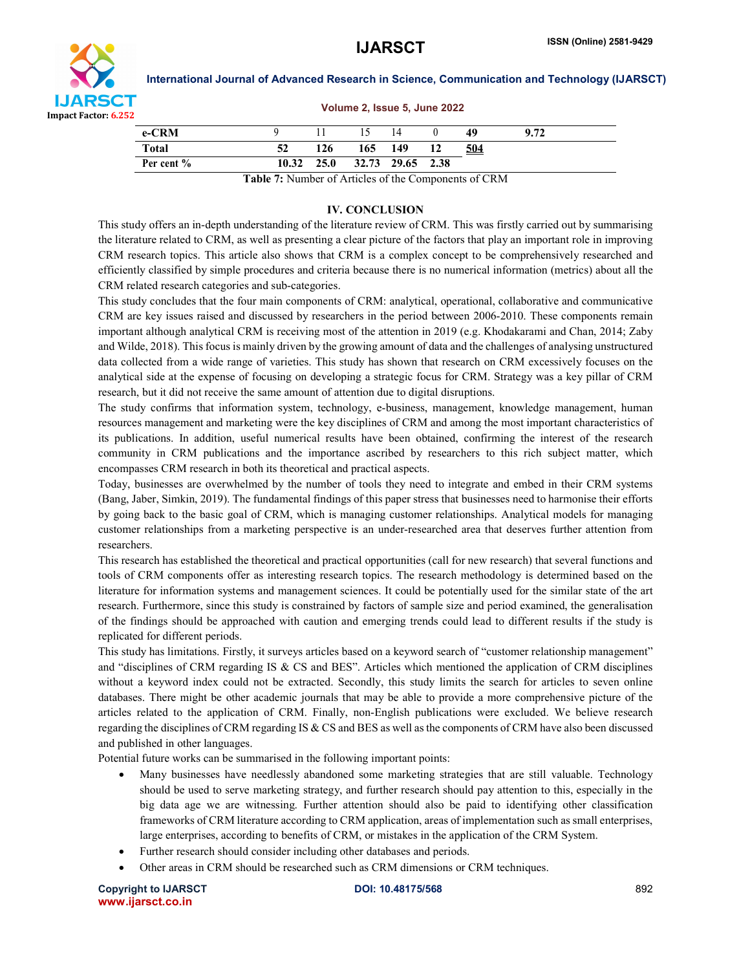

|            | Volume 2, Issue 5, June 2022 |     |                             |      |    |            |      |  |
|------------|------------------------------|-----|-----------------------------|------|----|------------|------|--|
| e-CRM      |                              |     | $\frac{15}{2}$              | - 14 |    | 49         | 9.72 |  |
| Total      | 52                           | 126 | 165 149                     |      | 12 | <u>504</u> |      |  |
| Per cent % |                              |     | 10.32 25.0 32.73 29.65 2.38 |      |    |            |      |  |

Table 7: Number of Articles of the Components of CRM

# IV. CONCLUSION

This study offers an in-depth understanding of the literature review of CRM. This was firstly carried out by summarising the literature related to CRM, as well as presenting a clear picture of the factors that play an important role in improving CRM research topics. This article also shows that CRM is a complex concept to be comprehensively researched and efficiently classified by simple procedures and criteria because there is no numerical information (metrics) about all the CRM related research categories and sub-categories.

This study concludes that the four main components of CRM: analytical, operational, collaborative and communicative CRM are key issues raised and discussed by researchers in the period between 2006-2010. These components remain important although analytical CRM is receiving most of the attention in 2019 (e.g. Khodakarami and Chan, 2014; Zaby and Wilde, 2018). This focus is mainly driven by the growing amount of data and the challenges of analysing unstructured data collected from a wide range of varieties. This study has shown that research on CRM excessively focuses on the analytical side at the expense of focusing on developing a strategic focus for CRM. Strategy was a key pillar of CRM research, but it did not receive the same amount of attention due to digital disruptions.

The study confirms that information system, technology, e-business, management, knowledge management, human resources management and marketing were the key disciplines of CRM and among the most important characteristics of its publications. In addition, useful numerical results have been obtained, confirming the interest of the research community in CRM publications and the importance ascribed by researchers to this rich subject matter, which encompasses CRM research in both its theoretical and practical aspects.

Today, businesses are overwhelmed by the number of tools they need to integrate and embed in their CRM systems (Bang, Jaber, Simkin, 2019). The fundamental findings of this paper stress that businesses need to harmonise their efforts by going back to the basic goal of CRM, which is managing customer relationships. Analytical models for managing customer relationships from a marketing perspective is an under-researched area that deserves further attention from researchers.

This research has established the theoretical and practical opportunities (call for new research) that several functions and tools of CRM components offer as interesting research topics. The research methodology is determined based on the literature for information systems and management sciences. It could be potentially used for the similar state of the art research. Furthermore, since this study is constrained by factors of sample size and period examined, the generalisation of the findings should be approached with caution and emerging trends could lead to different results if the study is replicated for different periods.

This study has limitations. Firstly, it surveys articles based on a keyword search of "customer relationship management" and "disciplines of CRM regarding IS & CS and BES". Articles which mentioned the application of CRM disciplines without a keyword index could not be extracted. Secondly, this study limits the search for articles to seven online databases. There might be other academic journals that may be able to provide a more comprehensive picture of the articles related to the application of CRM. Finally, non-English publications were excluded. We believe research regarding the disciplines of CRM regarding IS & CS and BES as well as the components of CRM have also been discussed and published in other languages.

Potential future works can be summarised in the following important points:

- Many businesses have needlessly abandoned some marketing strategies that are still valuable. Technology should be used to serve marketing strategy, and further research should pay attention to this, especially in the big data age we are witnessing. Further attention should also be paid to identifying other classification frameworks of CRM literature according to CRM application, areas of implementation such as small enterprises, large enterprises, according to benefits of CRM, or mistakes in the application of the CRM System.
- Further research should consider including other databases and periods.
- Other areas in CRM should be researched such as CRM dimensions or CRM techniques.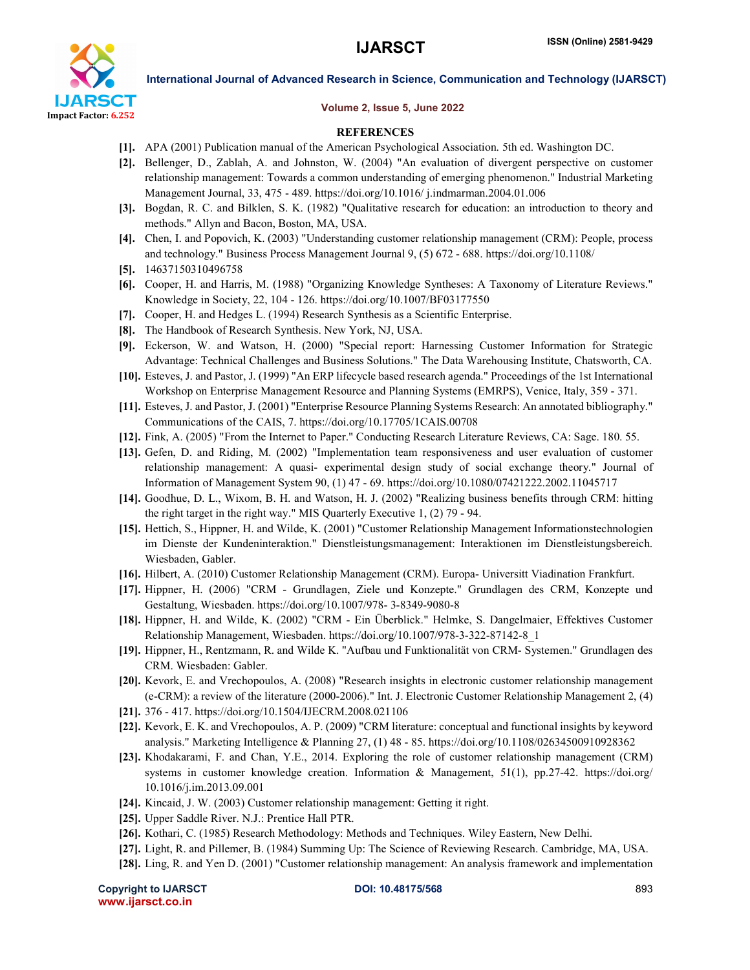

#### Volume 2, Issue 5, June 2022

### **REFERENCES**

- [1]. APA (2001) Publication manual of the American Psychological Association. 5th ed. Washington DC.
- [2]. Bellenger, D., Zablah, A. and Johnston, W. (2004) "An evaluation of divergent perspective on customer relationship management: Towards a common understanding of emerging phenomenon." Industrial Marketing Management Journal, 33, 475 - 489. https://doi.org/10.1016/ j.indmarman.2004.01.006
- [3]. Bogdan, R. C. and Bilklen, S. K. (1982) "Qualitative research for education: an introduction to theory and methods." Allyn and Bacon, Boston, MA, USA.
- [4]. Chen, I. and Popovich, K. (2003) "Understanding customer relationship management (CRM): People, process and technology." Business Process Management Journal 9, (5) 672 - 688. https://doi.org/10.1108/
- [5]. 14637150310496758
- [6]. Cooper, H. and Harris, M. (1988) "Organizing Knowledge Syntheses: A Taxonomy of Literature Reviews." Knowledge in Society, 22, 104 - 126. https://doi.org/10.1007/BF03177550
- [7]. Cooper, H. and Hedges L. (1994) Research Synthesis as a Scientific Enterprise.
- [8]. The Handbook of Research Synthesis. New York, NJ, USA.
- [9]. Eckerson, W. and Watson, H. (2000) "Special report: Harnessing Customer Information for Strategic Advantage: Technical Challenges and Business Solutions." The Data Warehousing Institute, Chatsworth, CA.
- [10]. Esteves, J. and Pastor, J. (1999) "An ERP lifecycle based research agenda." Proceedings of the 1st International Workshop on Enterprise Management Resource and Planning Systems (EMRPS), Venice, Italy, 359 - 371.
- [11]. Esteves, J. and Pastor, J. (2001) "Enterprise Resource Planning Systems Research: An annotated bibliography." Communications of the CAIS, 7. https://doi.org/10.17705/1CAIS.00708
- [12]. Fink, A. (2005) "From the Internet to Paper." Conducting Research Literature Reviews, CA: Sage. 180. 55.
- [13]. Gefen, D. and Riding, M. (2002) "Implementation team responsiveness and user evaluation of customer relationship management: A quasi- experimental design study of social exchange theory." Journal of Information of Management System 90, (1) 47 - 69. https://doi.org/10.1080/07421222.2002.11045717
- [14]. Goodhue, D. L., Wixom, B. H. and Watson, H. J. (2002) "Realizing business benefits through CRM: hitting the right target in the right way." MIS Quarterly Executive 1, (2) 79 - 94.
- [15]. Hettich, S., Hippner, H. and Wilde, K. (2001) "Customer Relationship Management Informationstechnologien im Dienste der Kundeninteraktion." Dienstleistungsmanagement: Interaktionen im Dienstleistungsbereich. Wiesbaden, Gabler.
- [16]. Hilbert, A. (2010) Customer Relationship Management (CRM). Europa- Universitt Viadination Frankfurt.
- [17]. Hippner, H. (2006) "CRM Grundlagen, Ziele und Konzepte." Grundlagen des CRM, Konzepte und Gestaltung, Wiesbaden. https://doi.org/10.1007/978- 3-8349-9080-8
- [18]. Hippner, H. and Wilde, K. (2002) "CRM Ein Überblick." Helmke, S. Dangelmaier, Effektives Customer Relationship Management, Wiesbaden. https://doi.org/10.1007/978-3-322-87142-8\_1
- [19]. Hippner, H., Rentzmann, R. and Wilde K. "Aufbau und Funktionalität von CRM- Systemen." Grundlagen des CRM. Wiesbaden: Gabler.
- [20]. Kevork, E. and Vrechopoulos, A. (2008) "Research insights in electronic customer relationship management (e-CRM): a review of the literature (2000-2006)." Int. J. Electronic Customer Relationship Management 2, (4)
- [21]. 376 417. https://doi.org/10.1504/IJECRM.2008.021106
- [22]. Kevork, E. K. and Vrechopoulos, A. P. (2009) "CRM literature: conceptual and functional insights by keyword analysis." Marketing Intelligence & Planning 27, (1) 48 - 85. https://doi.org/10.1108/02634500910928362
- [23]. Khodakarami, F. and Chan, Y.E., 2014. Exploring the role of customer relationship management (CRM) systems in customer knowledge creation. Information & Management, 51(1), pp.27-42. https://doi.org/ 10.1016/j.im.2013.09.001
- [24]. Kincaid, J. W. (2003) Customer relationship management: Getting it right.
- [25]. Upper Saddle River. N.J.: Prentice Hall PTR.
- [26]. Kothari, C. (1985) Research Methodology: Methods and Techniques. Wiley Eastern, New Delhi.
- [27]. Light, R. and Pillemer, B. (1984) Summing Up: The Science of Reviewing Research. Cambridge, MA, USA.
- [28]. Ling, R. and Yen D. (2001) "Customer relationship management: An analysis framework and implementation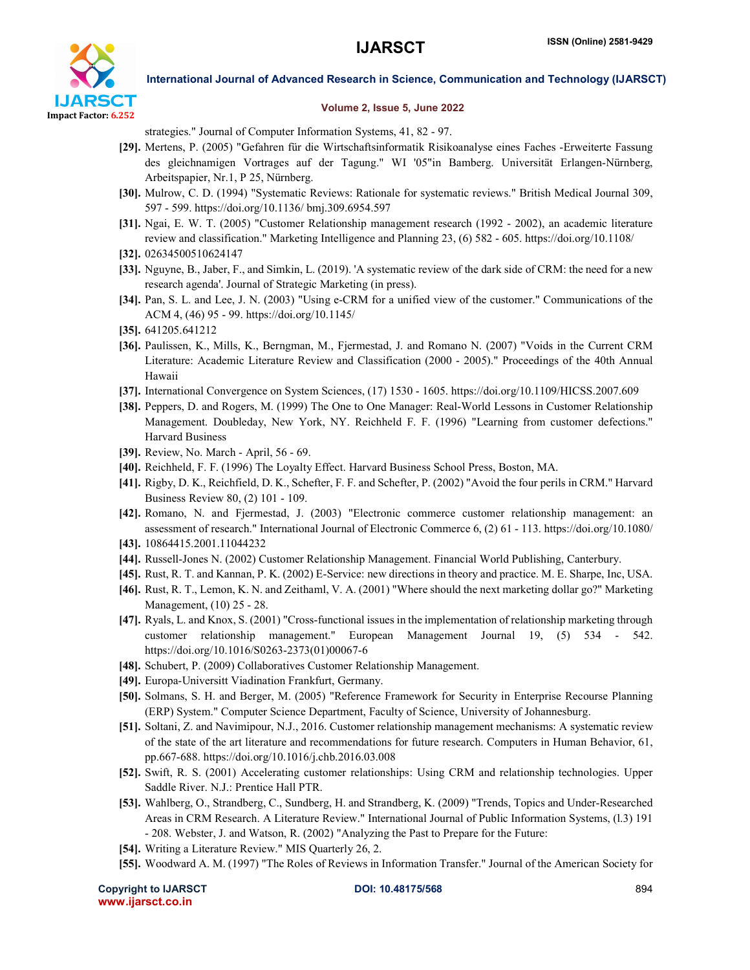

#### Volume 2, Issue 5, June 2022

strategies." Journal of Computer Information Systems, 41, 82 - 97.

- [29]. Mertens, P. (2005) "Gefahren für die Wirtschaftsinformatik Risikoanalyse eines Faches -Erweiterte Fassung des gleichnamigen Vortrages auf der Tagung." WI '05"in Bamberg. Universität Erlangen-Nürnberg, Arbeitspapier, Nr.1, P 25, Nürnberg.
- [30]. Mulrow, C. D. (1994) "Systematic Reviews: Rationale for systematic reviews." British Medical Journal 309, 597 - 599. https://doi.org/10.1136/ bmj.309.6954.597
- [31]. Ngai, E. W. T. (2005) "Customer Relationship management research (1992 2002), an academic literature review and classification." Marketing Intelligence and Planning 23, (6) 582 - 605. https://doi.org/10.1108/
- [32]. 02634500510624147
- [33]. Nguyne, B., Jaber, F., and Simkin, L. (2019). 'A systematic review of the dark side of CRM: the need for a new research agenda'. Journal of Strategic Marketing (in press).
- [34]. Pan, S. L. and Lee, J. N. (2003) "Using e-CRM for a unified view of the customer." Communications of the ACM 4, (46) 95 - 99. https://doi.org/10.1145/
- [35]. 641205.641212
- [36]. Paulissen, K., Mills, K., Berngman, M., Fjermestad, J. and Romano N. (2007) "Voids in the Current CRM Literature: Academic Literature Review and Classification (2000 - 2005)." Proceedings of the 40th Annual Hawaii
- [37]. International Convergence on System Sciences, (17) 1530 1605. https://doi.org/10.1109/HICSS.2007.609
- [38]. Peppers, D. and Rogers, M. (1999) The One to One Manager: Real-World Lessons in Customer Relationship Management. Doubleday, New York, NY. Reichheld F. F. (1996) "Learning from customer defections." Harvard Business
- [39]. Review, No. March April, 56 69.
- [40]. Reichheld, F. F. (1996) The Loyalty Effect. Harvard Business School Press, Boston, MA.
- [41]. Rigby, D. K., Reichfield, D. K., Schefter, F. F. and Schefter, P. (2002) "Avoid the four perils in CRM." Harvard Business Review 80, (2) 101 - 109.
- [42]. Romano, N. and Fjermestad, J. (2003) "Electronic commerce customer relationship management: an assessment of research." International Journal of Electronic Commerce 6, (2) 61 - 113. https://doi.org/10.1080/ [43]. 10864415.2001.11044232
- [44]. Russell-Jones N. (2002) Customer Relationship Management. Financial World Publishing, Canterbury.
- [45]. Rust, R. T. and Kannan, P. K. (2002) E-Service: new directions in theory and practice. M. E. Sharpe, Inc, USA.
- [46]. Rust, R. T., Lemon, K. N. and Zeithaml, V. A. (2001) "Where should the next marketing dollar go?" Marketing Management, (10) 25 - 28.
- [47]. Ryals, L. and Knox, S. (2001) "Cross-functional issues in the implementation of relationship marketing through customer relationship management." European Management Journal 19, (5) 534 - 542. https://doi.org/10.1016/S0263-2373(01)00067-6
- [48]. Schubert, P. (2009) Collaboratives Customer Relationship Management.
- [49]. Europa-Universitt Viadination Frankfurt, Germany.
- [50]. Solmans, S. H. and Berger, M. (2005) "Reference Framework for Security in Enterprise Recourse Planning (ERP) System." Computer Science Department, Faculty of Science, University of Johannesburg.
- [51]. Soltani, Z. and Navimipour, N.J., 2016. Customer relationship management mechanisms: A systematic review of the state of the art literature and recommendations for future research. Computers in Human Behavior, 61, pp.667-688. https://doi.org/10.1016/j.chb.2016.03.008
- [52]. Swift, R. S. (2001) Accelerating customer relationships: Using CRM and relationship technologies. Upper Saddle River. N.J.: Prentice Hall PTR.
- [53]. Wahlberg, O., Strandberg, C., Sundberg, H. and Strandberg, K. (2009) "Trends, Topics and Under-Researched Areas in CRM Research. A Literature Review." International Journal of Public Information Systems, (l.3) 191 - 208. Webster, J. and Watson, R. (2002) "Analyzing the Past to Prepare for the Future:
- [54]. Writing a Literature Review." MIS Quarterly 26, 2.
- [55]. Woodward A. M. (1997) "The Roles of Reviews in Information Transfer." Journal of the American Society for